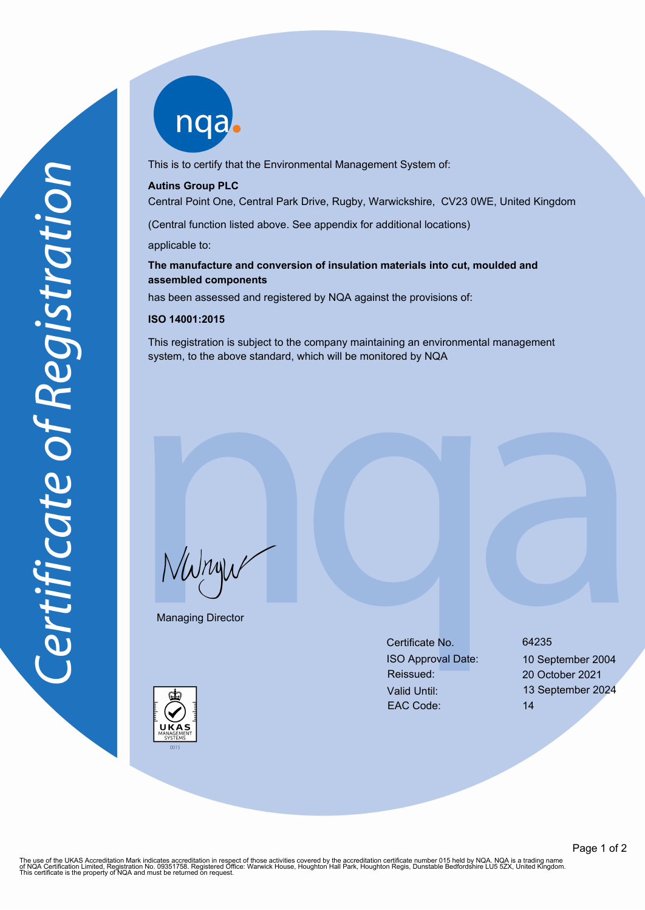nqab

This is to certify that the Environmental Management System of:

#### **Autins Group PLC**

Central Point One, Central Park Drive, Rugby, Warwickshire, CV23 0WE, United Kingdom

(Central function listed above. See appendix for additional locations)

applicable to:

# **The manufacture and conversion of insulation materials into cut, moulded and assembled components**

has been assessed and registered by NQA against the provisions of:

### **ISO 14001:2015**

This registration is subject to the company maintaining an environmental management system, to the above standard, which will be monitored by NQA

NWnyw

Managing Director

Certificate No. 64235 ISO Approval Date: 10 September 2004 Reissued: 20 October 2021 EAC Code: 14

Valid Until: 13 September 2024